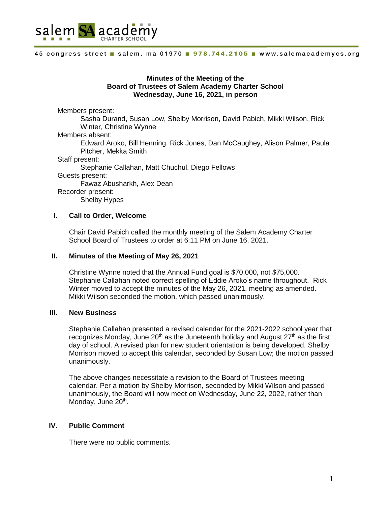

## **Minutes of the Meeting of the Board of Trustees of Salem Academy Charter School Wednesday, June 16, 2021, in person**

Members present:

Sasha Durand, Susan Low, Shelby Morrison, David Pabich, Mikki Wilson, Rick Winter, Christine Wynne

Members absent:

Edward Aroko, Bill Henning, Rick Jones, Dan McCaughey, Alison Palmer, Paula Pitcher, Mekka Smith

Staff present:

Stephanie Callahan, Matt Chuchul, Diego Fellows

Guests present:

Fawaz Abusharkh, Alex Dean

Recorder present:

Shelby Hypes

## **I. Call to Order, Welcome**

Chair David Pabich called the monthly meeting of the Salem Academy Charter School Board of Trustees to order at 6:11 PM on June 16, 2021.

## **II. Minutes of the Meeting of May 26, 2021**

Christine Wynne noted that the Annual Fund goal is \$70,000, not \$75,000. Stephanie Callahan noted correct spelling of Eddie Aroko's name throughout. Rick Winter moved to accept the minutes of the May 26, 2021, meeting as amended. Mikki Wilson seconded the motion, which passed unanimously.

# **III. New Business**

Stephanie Callahan presented a revised calendar for the 2021-2022 school year that recognizes Monday, June  $20<sup>th</sup>$  as the Juneteenth holiday and August  $27<sup>th</sup>$  as the first day of school. A revised plan for new student orientation is being developed. Shelby Morrison moved to accept this calendar, seconded by Susan Low; the motion passed unanimously.

The above changes necessitate a revision to the Board of Trustees meeting calendar. Per a motion by Shelby Morrison, seconded by Mikki Wilson and passed unanimously, the Board will now meet on Wednesday, June 22, 2022, rather than Monday, June 20<sup>th</sup>.

# **IV. Public Comment**

There were no public comments.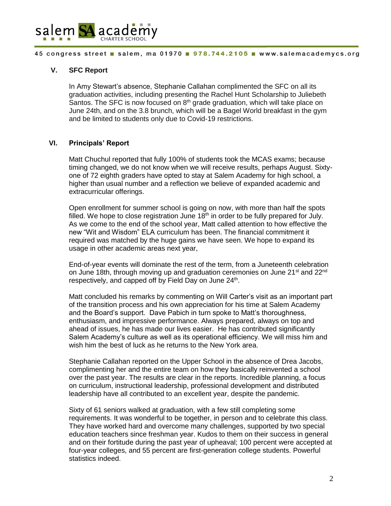

# **V. SFC Report**

In Amy Stewart's absence, Stephanie Callahan complimented the SFC on all its graduation activities, including presenting the Rachel Hunt Scholarship to Juliebeth Santos. The SFC is now focused on 8<sup>th</sup> grade graduation, which will take place on June 24th, and on the 3.8 brunch, which will be a Bagel World breakfast in the gym and be limited to students only due to Covid-19 restrictions.

## **VI. Principals' Report**

Matt Chuchul reported that fully 100% of students took the MCAS exams; because timing changed, we do not know when we will receive results, perhaps August. Sixtyone of 72 eighth graders have opted to stay at Salem Academy for high school, a higher than usual number and a reflection we believe of expanded academic and extracurricular offerings.

Open enrollment for summer school is going on now, with more than half the spots filled. We hope to close registration June  $18<sup>th</sup>$  in order to be fully prepared for July. As we come to the end of the school year, Matt called attention to how effective the new "Wit and Wisdom" ELA curriculum has been. The financial commitment it required was matched by the huge gains we have seen. We hope to expand its usage in other academic areas next year,

End-of-year events will dominate the rest of the term, from a Juneteenth celebration on June 18th, through moving up and graduation ceremonies on June 21<sup>st</sup> and 22<sup>nd</sup> respectively, and capped off by Field Day on June 24<sup>th</sup>.

Matt concluded his remarks by commenting on Will Carter's visit as an important part of the transition process and his own appreciation for his time at Salem Academy and the Board's support. Dave Pabich in turn spoke to Matt's thoroughness, enthusiasm, and impressive performance. Always prepared, always on top and ahead of issues, he has made our lives easier. He has contributed significantly Salem Academy's culture as well as its operational efficiency. We will miss him and wish him the best of luck as he returns to the New York area.

Stephanie Callahan reported on the Upper School in the absence of Drea Jacobs, complimenting her and the entire team on how they basically reinvented a school over the past year. The results are clear in the reports. Incredible planning, a focus on curriculum, instructional leadership, professional development and distributed leadership have all contributed to an excellent year, despite the pandemic.

Sixty of 61 seniors walked at graduation, with a few still completing some requirements. It was wonderful to be together, in person and to celebrate this class. They have worked hard and overcome many challenges, supported by two special education teachers since freshman year. Kudos to them on their success in general and on their fortitude during the past year of upheaval; 100 percent were accepted at four-year colleges, and 55 percent are first-generation college students. Powerful statistics indeed.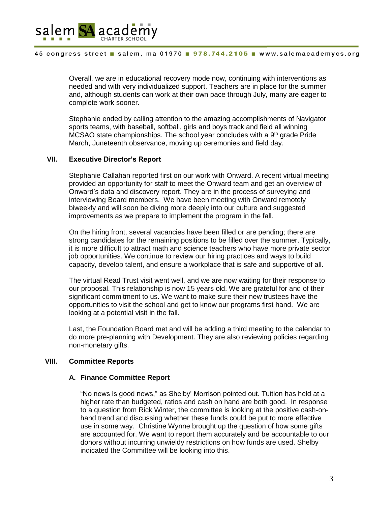

Overall, we are in educational recovery mode now, continuing with interventions as needed and with very individualized support. Teachers are in place for the summer and, although students can work at their own pace through July, many are eager to complete work sooner.

Stephanie ended by calling attention to the amazing accomplishments of Navigator sports teams, with baseball, softball, girls and boys track and field all winning MCSAO state championships. The school year concludes with a  $9<sup>th</sup>$  grade Pride March, Juneteenth observance, moving up ceremonies and field day.

## **VII. Executive Director's Report**

Stephanie Callahan reported first on our work with Onward. A recent virtual meeting provided an opportunity for staff to meet the Onward team and get an overview of Onward's data and discovery report. They are in the process of surveying and interviewing Board members. We have been meeting with Onward remotely biweekly and will soon be diving more deeply into our culture and suggested improvements as we prepare to implement the program in the fall.

On the hiring front, several vacancies have been filled or are pending; there are strong candidates for the remaining positions to be filled over the summer. Typically, it is more difficult to attract math and science teachers who have more private sector job opportunities. We continue to review our hiring practices and ways to build capacity, develop talent, and ensure a workplace that is safe and supportive of all.

The virtual Read Trust visit went well, and we are now waiting for their response to our proposal. This relationship is now 15 years old. We are grateful for and of their significant commitment to us. We want to make sure their new trustees have the opportunities to visit the school and get to know our programs first hand. We are looking at a potential visit in the fall.

Last, the Foundation Board met and will be adding a third meeting to the calendar to do more pre-planning with Development. They are also reviewing policies regarding non-monetary gifts.

#### **VIII. Committee Reports**

#### **A. Finance Committee Report**

"No news is good news," as Shelby' Morrison pointed out. Tuition has held at a higher rate than budgeted, ratios and cash on hand are both good. In response to a question from Rick Winter, the committee is looking at the positive cash-onhand trend and discussing whether these funds could be put to more effective use in some way. Christine Wynne brought up the question of how some gifts are accounted for. We want to report them accurately and be accountable to our donors without incurring unwieldy restrictions on how funds are used. Shelby indicated the Committee will be looking into this.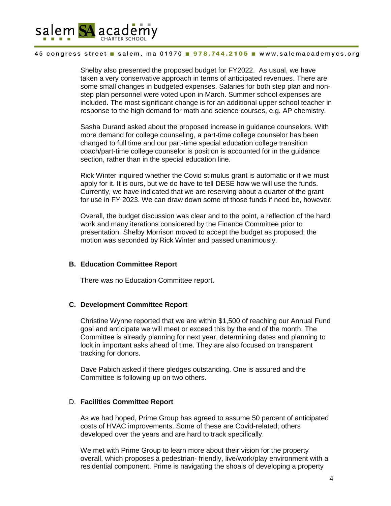

Shelby also presented the proposed budget for FY2022. As usual, we have taken a very conservative approach in terms of anticipated revenues. There are some small changes in budgeted expenses. Salaries for both step plan and nonstep plan personnel were voted upon in March. Summer school expenses are included. The most significant change is for an additional upper school teacher in response to the high demand for math and science courses, e.g. AP chemistry.

Sasha Durand asked about the proposed increase in guidance counselors. With more demand for college counseling, a part-time college counselor has been changed to full time and our part-time special education college transition coach/part-time college counselor is position is accounted for in the guidance section, rather than in the special education line.

Rick Winter inquired whether the Covid stimulus grant is automatic or if we must apply for it. It is ours, but we do have to tell DESE how we will use the funds. Currently, we have indicated that we are reserving about a quarter of the grant for use in FY 2023. We can draw down some of those funds if need be, however.

Overall, the budget discussion was clear and to the point, a reflection of the hard work and many iterations considered by the Finance Committee prior to presentation. Shelby Morrison moved to accept the budget as proposed; the motion was seconded by Rick Winter and passed unanimously.

## **B. Education Committee Report**

There was no Education Committee report.

## **C. Development Committee Report**

Christine Wynne reported that we are within \$1,500 of reaching our Annual Fund goal and anticipate we will meet or exceed this by the end of the month. The Committee is already planning for next year, determining dates and planning to lock in important asks ahead of time. They are also focused on transparent tracking for donors.

Dave Pabich asked if there pledges outstanding. One is assured and the Committee is following up on two others.

## D. **Facilities Committee Report**

As we had hoped, Prime Group has agreed to assume 50 percent of anticipated costs of HVAC improvements. Some of these are Covid-related; others developed over the years and are hard to track specifically.

We met with Prime Group to learn more about their vision for the property overall, which proposes a pedestrian- friendly, live/work/play environment with a residential component. Prime is navigating the shoals of developing a property